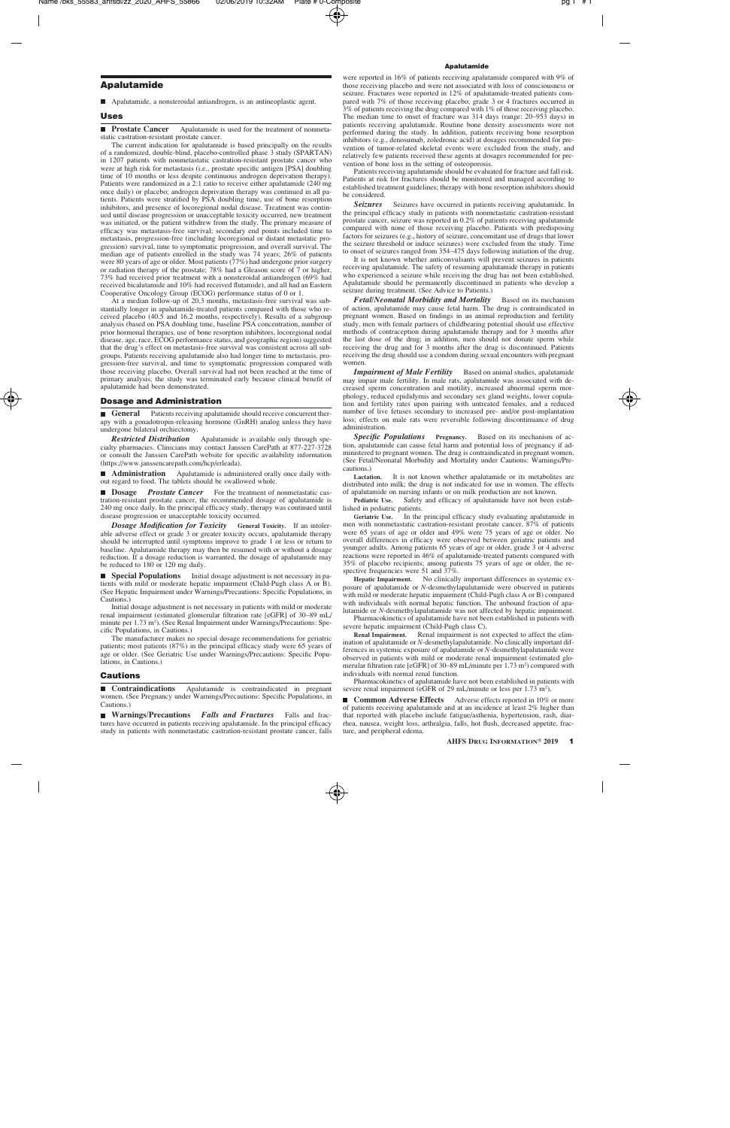# Apalutamide

Apalutamide, a nonsteroidal antiandrogen, is an antineoplastic agent.

**Prostate Cancer** Apalutamide is used for the treatment of nonmetastatic castration-resistant prostate cancer.

The current indication for apalutamide is based principally on the results of a randomized, double-blind, placebo-controlled phase 3 study (SPARTAN) in 1207 patients with nonmetastatic castration-resistant prostate cancer who were at high risk for metastasis (i.e., prostate specific antigen [PSA] doubling time of 10 months or less despite continuous androgen deprivation therapy). Patients were randomized in a 2:1 ratio to receive either apalutamide (240 mg once daily) or placebo; androgen deprivation therapy was continued in all patients. Patients were stratified by PSA doubling time, use of bone resorption inhibitors, and presence of locoregional nodal disease. Treatment was continued until disease progression or unacceptable toxicity occurred, new treatment was initiated, or the patient withdrew from the study. The primary measure of efficacy was metastasis-free survival; secondary end points included time to metastasis, progression-free (including locoregional or distant metastatic progression) survival, time to symptomatic progression, and overall survival. The median age of patients enrolled in the study was 74 years; 26% of patients were 80 years of age or older. Most patients (77%) had undergone prior surgery or radiation therapy of the prostate; 78% had a Gleason score of 7 or higher, 73% had received prior treatment with a nonsteroidal antiandrogen (69% had received bicalutamide and 10% had received flutamide), and all had an Eastern Cooperative Oncology Group (ECOG) performance status of 0 or 1.

At a median follow-up of 20.3 months, metastasis-free survival was substantially longer in apalutamide-treated patients compared with those who received placebo (40.5 and 16.2 months, respectively). Results of a subgroup analysis (based on PSA doubling time, baseline PSA concentration, number of prior hormonal therapies, use of bone resorption inhibitors, locoregional nodal disease, age, race, ECOG performance status, and geographic region) suggested that the drug's effect on metastasis-free survival was consistent across all subgroups. Patients receiving apalutamide also had longer time to metastasis, progression-free survival, and time to symptomatic progression compared with those receiving placebo. Overall survival had not been reached at the time of primary analysis; the study was terminated early because clinical benefit of apalutamide had been demonstrated.

### Dosage and Administration

**General** Patients receiving apalutamide should receive concurrent therapy with a gonadotropin-releasing hormone (GnRH) analog unless they have undergone bilateral orchiectomy.

*Restricted Distribution* Apalutamide is available only through specialty pharmacies. Clinicians may contact Janssen CarePath at 877-227-3728 or consult the Janssen CarePath website for specific availability information (https://www.janssencarepath.com/hcp/erleada).

**Administration** Apalutamide is administered orally once daily without regard to food. The tablets should be swallowed whole.

**Dosage** *Prostate Cancer* For the treatment of nonmetastatic castration-resistant prostate cancer, the recommended dosage of apalutamide is 240 mg once daily. In the principal efficacy study, therapy was continued until disease progression or unacceptable toxicity occurred.

*Dosage Modification for Toxicity* **General Toxicity.** If an intolerable adverse effect or grade 3 or greater toxicity occurs, apalutamide therapy should be interrupted until symptoms improve to grade 1 or less or return to baseline. Apalutamide therapy may then be resumed with or without a dosage reduction. If a dosage reduction is warranted, the dosage of apalutamide may be reduced to 180 or 120 mg daily.

**Special Populations** Initial dosage adjustment is not necessary in patients with mild or moderate hepatic impairment (Child-Pugh class A or B). (See Hepatic Impairment under Warnings/Precautions: Specific Populations, in Cautions.)

Initial dosage adjustment is not necessary in patients with mild or moderate renal impairment (estimated glomerular filtration rate [eGFR] of 30–89 mL/ minute per 1.73 m<sup>2</sup>). (See Renal Impairment under Warnings/Precautions: Specific Populations, in Cautions.)

The manufacturer makes no special dosage recommendations for geriatric patients; most patients (87%) in the principal efficacy study were 65 years of age or older. (See Geriatric Use under Warnings/Precautions: Specific Populations, in Cautions.)

# **Cautions**

**Contraindications** Apalutamide is contraindicated in pregnant women. (See Pregnancy under Warnings/Precautions: Specific Populations, in Cautions.)

**Warnings/Precautions** *Falls and Fractures* Falls and fractures have occurred in patients receiving apalutamide. In the principal efficacy study in patients with nonmetastatic castration-resistant prostate cancer, falls

#### Apalutamide

were reported in 16% of patients receiving apalutamide compared with 9% of those receiving placebo and were not associated with loss of consciousness or seizure. Fractures were reported in 12% of apalutamide-treated patients compared with 7% of those receiving placebo; grade 3 or 4 fractures occurred in 3% of patients receiving the drug compared with 1% of those receiving placebo. The median time to onset of fracture was 314 days (range: 20–953 days) in patients receiving apalutamide. Routine bone density assessments were not performed during the study. In addition, patients receiving bone resorption inhibitors (e.g., denosumab, zoledronic acid) at dosages recommended for prevention of tumor-related skeletal events were excluded from the study, and relatively few patients received these agents at dosages recommended for prevention of bone loss in the setting of osteoporosis.

Patients receiving apalutamide should be evaluated for fracture and fall risk. Patients at risk for fractures should be monitored and managed according to established treatment guidelines; therapy with bone resorption inhibitors should be considered.

Seizures Seizures have occurred in patients receiving apalutamide. In the principal efficacy study in patients with nonmetastatic castration-resistant prostate cancer, seizure was reported in 0.2% of patients receiving apalutamide compared with none of those receiving placebo. Patients with predisposing factors for seizures (e.g., history of seizure, concomitant use of drugs that lower the seizure threshold or induce seizures) were excluded from the study. Time to onset of seizures ranged from 354–475 days following initiation of the drug.

It is not known whether anticonvulsants will prevent seizures in patients receiving apalutamide. The safety of resuming apalutamide therapy in patients who experienced a seizure while receiving the drug has not been established. Apalutamide should be permanently discontinued in patients who develop a seizure during treatment. (See Advice to Patients.)

*Fetal/Neonatal Morbidity and Mortality* Based on its mechanism of action, apalutamide may cause fetal harm. The drug is contraindicated in pregnant women. Based on findings in an animal reproduction and fertility study, men with female partners of childbearing potential should use effective methods of contraception during apalutamide therapy and for 3 months after the last dose of the drug; in addition, men should not donate sperm while receiving the drug and for 3 months after the drug is discontinued. Patients receiving the drug should use a condom during sexual encounters with pregnant women.

**Impairment of Male Fertility** Based on animal studies, apalutamide may impair male fertility. In male rats, apalutamide was associated with decreased sperm concentration and motility, increased abnormal sperm morphology, reduced epididymis and secondary sex gland weights, lower copulation and fertility rates upon pairing with untreated females, and a reduced number of live fetuses secondary to increased pre- and/or post-implantation loss; effects on male rats were reversible following discontinuance of drug administration.

**Specific Populations Pregnancy.** Based on its mechanism of action, apalutamide can cause fetal harm and potential loss of pregnancy if administered to pregnant women. The drug is contraindicated in pregnant women. (See Fetal/Neonatal Morbidity and Mortality under Cautions: Warnings/Precautions.)

Lactation. It is not known whether apalutamide or its metabolites are distributed into milk; the drug is not indicated for use in women. The effects of apalutamide on nursing infants or on milk production are not known.

**Pediatric Use.** Safety and efficacy of apalutamide have not been established in pediatric patients.

**Geriatric Use.** In the principal efficacy study evaluating apalutamide in men with nonmetastatic castration-resistant prostate cancer, 87% of patients were 65 years of age or older and 49% were 75 years of age or older. No overall differences in efficacy were observed between geriatric patients and younger adults. Among patients 65 years of age or older, grade 3 or 4 adverse reactions were reported in 46% of apalutamide-treated patients compared with 35% of placebo recipients; among patients 75 years of age or older, the respective frequencies were 51 and  $37%$ .

**Hepatic Impairment.** No clinically important differences in systemic exposure of apalutamide or *N*-desmethylapalutamide were observed in patients with mild or moderate hepatic impairment (Child-Pugh class A or B) compared with individuals with normal hepatic function. The unbound fraction of apalutamide or *N*-desmethylapalutamide was not affected by hepatic impairment.

Pharmacokinetics of apalutamide have not been established in patients with severe hepatic impairment (Child-Pugh class C).

**Renal Impairment.** Renal impairment is not expected to affect the elimination of apalutamide or *N*-desmethylapalutamide. No clinically important differences in systemic exposure of apalutamide or *N*-desmethylapalutamide were observed in patients with mild or moderate renal impairment (estimated glomerular filtration rate [eGFR] of 30–89 mL/minute per 1.73 m<sup>2</sup>) compared with individuals with normal renal function.

Pharmacokinetics of apalutamide have not been established in patients with severe renal impairment (eGFR of 29 mL/minute or less per 1.73 m<sup>2</sup>).

■ **Common Adverse Effects** Adverse effects reported in 10% or more of patients receiving apalutamide and at an incidence at least 2% higher than that reported with placebo include fatigue/asthenia, hypertension, rash, diarrhea, nausea, weight loss, arthralgia, falls, hot flush, decreased appetite, fracture, and peripheral edema.

Uses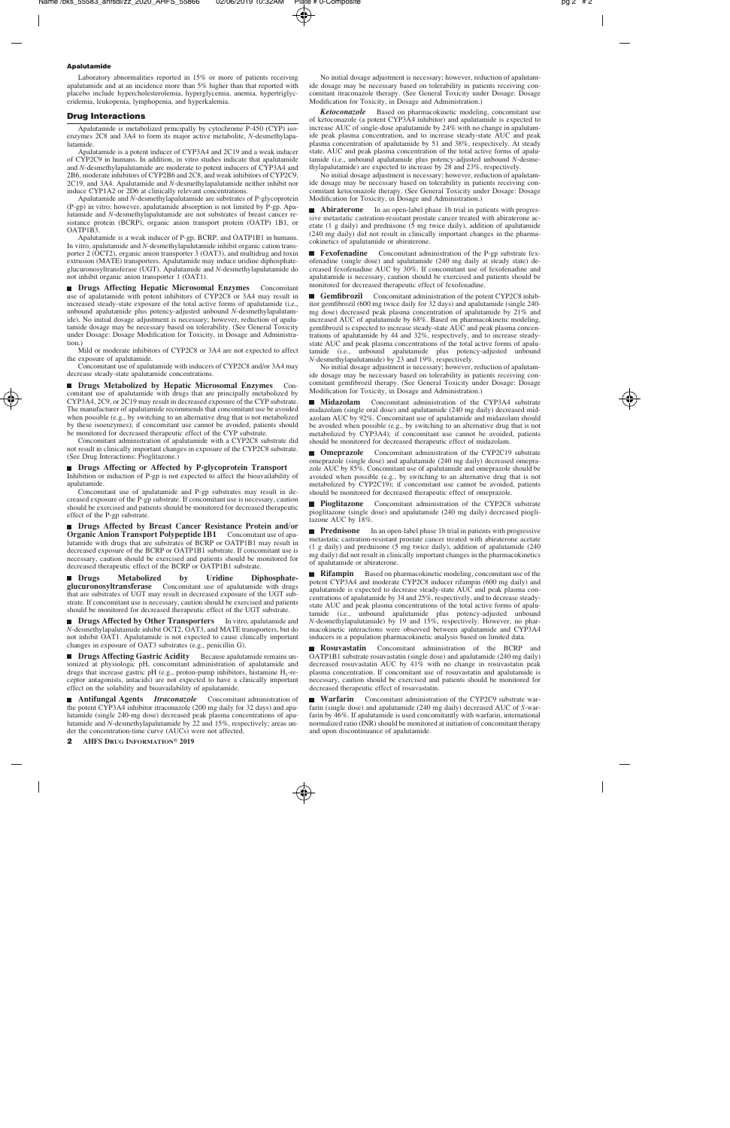#### Apalutamide

Laboratory abnormalities reported in 15% or more of patients receiving apalutamide and at an incidence more than 5% higher than that reported with placebo include hypercholesterolemia, hyperglycemia, anemia, hypertriglyceridemia, leukopenia, lymphopenia, and hyperkalemia.

### Drug Interactions

Apalutamide is metabolized principally by cytochrome P-450 (CYP) isoenzymes 2C8 and 3A4 to form its major active metabolite, *N*-desmethylapalutamide.

Apalutamide is a potent inducer of CYP3A4 and 2C19 and a weak inducer of CYP2C9 in humans. In addition, in vitro studies indicate that apalutamide and *N*-desmethylapalutamide are moderate to potent inducers of CYP3A4 and 2B6, moderate inhibitors of CYP2B6 and 2C8, and weak inhibitors of CYP2C9, 2C19, and 3A4. Apalutamide and *N*-desmethylapalutamide neither inhibit nor induce CYP1A2 or 2D6 at clinically relevant concentrations.

Apalutamide and *N*-desmethylapalutamide are substrates of P-glycoprotein (P-gp) in vitro; however, apalutamide absorption is not limited by P-gp. Apalutamide and *N*-desmethylapalutamide are not substrates of breast cancer resistance protein (BCRP), organic anion transport protein (OATP) 1B1, or OATP1B3.

Apalutamide is a weak inducer of P-gp, BCRP, and OATP1B1 in humans. In vitro, apalutamide and *N*-desmethylapalutamide inhibit organic cation transporter 2 (OCT2), organic anion transporter 3 (OAT3), and multidrug and toxin extrusion (MATE) transporters. Apalutamide may induce uridine diphosphateglucuronosyltransferase (UGT). Apalutamide and *N*-desmethylapalutamide do not inhibit organic anion transporter 1 (OAT1).

**Drugs Affecting Hepatic Microsomal Enzymes** Concomitant use of apalutamide with potent inhibitors of CYP2C8 or 3A4 may result in increased steady-state exposure of the total active forms of apalutamide (i.e., unbound apalutamide plus potency-adjusted unbound *N*-desmethylapalutamide). No initial dosage adjustment is necessary; however, reduction of apalutamide dosage may be necessary based on tolerability. (See General Toxicity under Dosage: Dosage Modification for Toxicity, in Dosage and Administration.)

Mild or moderate inhibitors of CYP2C8 or 3A4 are not expected to affect the exposure of apalutamide.

Concomitant use of apalutamide with inducers of CYP2C8 and/or 3A4 may decrease steady-state apalutamide concentrations.

**Drugs Metabolized by Hepatic Microsomal Enzymes** Concomitant use of apalutamide with drugs that are principally metabolized by CYP3A4, 2C9, or 2C19 may result in decreased exposure of the CYP substrate. The manufacturer of apalutamide recommends that concomitant use be avoided when possible (e.g., by switching to an alternative drug that is not metabolized by these isoenzymes); if concomitant use cannot be avoided, patients should be monitored for decreased therapeutic effect of the CYP substrate.

Concomitant administration of apalutamide with a CYP2C8 substrate did not result in clinically important changes in exposure of the CYP2C8 substrate. (See Drug Interactions: Pioglitazone.)

**Drugs Affecting or Affected by P-glycoprotein Transport** Inhibition or induction of P-gp is not expected to affect the bioavailability of apalutamide.

Concomitant use of apalutamide and P-gp substrates may result in decreased exposure of the P-gp substrate. If concomitant use is necessary, caution should be exercised and patients should be monitored for decreased therapeutic effect of the P-gp substrate.

■ Drugs Affected by Breast Cancer Resistance Protein and/or **Organic Anion Transport Polypeptide 1B1** Concomitant use of apalutamide with drugs that are substrates of BCRP or OATP1B1 may result in decreased exposure of the BCRP or OATP1B1 substrate. If concomitant use is necessary, caution should be exercised and patients should be monitored for decreased therapeutic effect of the BCRP or OATP1B1 substrate.

■ Drugs Metabolized by Uridine Diphosphate**glucuronosyltransferase** Concomitant use of apalutamide with drugs that are substrates of UGT may result in decreased exposure of the UGT substrate. If concomitant use is necessary, caution should be exercised and patients should be monitored for decreased therapeutic effect of the UGT substrate.

**Drugs Affected by Other Transporters** In vitro, apalutamide and *N*-desmethylapalutamide inhibit OCT2, OAT3, and MATE transporters, but do not inhibit OAT1. Apalutamide is not expected to cause clinically important changes in exposure of OAT3 substrates (e.g., penicillin G).

**Drugs Affecting Gastric Acidity** Because apalutamide remains unionized at physiologic pH, concomitant administration of apalutamide and drugs that increase gastric pH (e.g., proton-pump inhibitors, histamine  $H_2$ -receptor antagonists, antacids) are not expected to have a clinically important effect on the solubility and bioavailability of apalutamide.

**Antifungal Agents** *Itraconazole* Concomitant administration of the potent CYP3A4 inhibitor itraconazole (200 mg daily for 32 days) and apalutamide (single 240-mg dose) decreased peak plasma concentrations of apalutamide and *N*-desmethylapalutamide by 22 and 15%, respectively; areas under the concentration-time curve (AUCs) were not affected.

No initial dosage adjustment is necessary; however, reduction of apalutamide dosage may be necessary based on tolerability in patients receiving concomitant itraconazole therapy. (See General Toxicity under Dosage: Dosage Modification for Toxicity, in Dosage and Administration.)

*Ketoconazole* Based on pharmacokinetic modeling, concomitant use of ketoconazole (a potent CYP3A4 inhibitor) and apalutamide is expected to increase AUC of single-dose apalutamide by 24% with no change in apalutamide peak plasma concentration, and to increase steady-state AUC and peak plasma concentration of apalutamide by 51 and 38%, respectively. At steady state, AUC and peak plasma concentration of the total active forms of apalutamide (i.e., unbound apalutamide plus potency-adjusted unbound *N*-desmethylapalutamide) are expected to increase by 28 and 23%, respectively.

No initial dosage adjustment is necessary; however, reduction of apalutamide dosage may be necessary based on tolerability in patients receiving concomitant ketoconazole therapy. (See General Toxicity under Dosage: Dosage Modification for Toxicity, in Dosage and Administration.)

**Abiraterone** In an open-label phase 1b trial in patients with progressive metastatic castration-resistant prostate cancer treated with abiraterone acetate (1 g daily) and prednisone (5 mg twice daily), addition of apalutamide (240 mg daily) did not result in clinically important changes in the pharmacokinetics of apalutamide or abiraterone.

**Fexofenadine** Concomitant administration of the P-gp substrate fexofenadine (single dose) and apalutamide (240 mg daily at steady state) decreased fexofenadine AUC by 30%. If concomitant use of fexofenadine and apalutamide is necessary, caution should be exercised and patients should be monitored for decreased therapeutic effect of fexofenadine.

**Gemfibrozil** Concomitant administration of the potent CYP2C8 inhibitor gemfibrozil (600 mg twice daily for 32 days) and apalutamide (single 240 mg dose) decreased peak plasma concentration of apalutamide by 21% and increased AUC of apalutamide by 68%. Based on pharmacokinetic modeling, gemfibrozil is expected to increase steady-state AUC and peak plasma concentrations of apalutamide by 44 and 32%, respectively, and to increase steadystate AUC and peak plasma concentrations of the total active forms of apalutamide (i.e., unbound apalutamide plus potency-adjusted unbound *N*-desmethylapalutamide) by 23 and 19%, respectively.

No initial dosage adjustment is necessary; however, reduction of apalutamide dosage may be necessary based on tolerability in patients receiving concomitant gemfibrozil therapy. (See General Toxicity under Dosage: Dosage Modification for Toxicity, in Dosage and Administration.)

**Midazolam** Concomitant administration of the CYP3A4 substrate midazolam (single oral dose) and apalutamide (240 mg daily) decreased midazolam AUC by 92%. Concomitant use of apalutamide and midazolam should be avoided when possible (e.g., by switching to an alternative drug that is not metabolized by CYP3A4); if concomitant use cannot be avoided, patients should be monitored for decreased therapeutic effect of midazolam.

**Concomitant administration of the CYP2C19 substrate** omeprazole (single dose) and apalutamide (240 mg daily) decreased omeprazole AUC by 85%. Concomitant use of apalutamide and omeprazole should be avoided when possible (e.g., by switching to an alternative drug that is not metabolized by CYP2C19); if concomitant use cannot be avoided, patients should be monitored for decreased therapeutic effect of omeprazole.

**Pioglitazone** Concomitant administration of the CYP2C8 substrate pioglitazone (single dose) and apalutamide (240 mg daily) decreased pioglitazone AUC by 18%.

**Prednisone** In an open-label phase 1b trial in patients with progressive metastatic castration-resistant prostate cancer treated with abiraterone acetate (1 g daily) and prednisone (5 mg twice daily), addition of apalutamide (240 mg daily) did not result in clinically important changes in the pharmacokinetics of apalutamide or abiraterone.

**Rifampin** Based on pharmacokinetic modeling, concomitant use of the potent CYP3A4 and moderate CYP2C8 inducer rifampin (600 mg daily) and apalutamide is expected to decrease steady-state AUC and peak plasma concentrations of apalutamide by 34 and 25%, respectively, and to decrease steadystate AUC and peak plasma concentrations of the total active forms of apalutamide (i.e., unbound apalutamide plus potency-adjusted unbound *N*-desmethylapalutamide) by 19 and 15%, respectively. However, no pharmacokinetic interactions were observed between apalutamide and CYP3A4 inducers in a population pharmacokinetic analysis based on limited data.

**Rosuvastatin** Concomitant administration of the BCRP and OATP1B1 substrate rosuvastatin (single dose) and apalutamide (240 mg daily) decreased rosuvastatin AUC by 41% with no change in rosuvastatin peak plasma concentration. If concomitant use of rosuvastatin and apalutamide is necessary, caution should be exercised and patients should be monitored for decreased therapeutic effect of rosuvastatin.

**Warfarin** Concomitant administration of the CYP2C9 substrate warfarin (single dose) and apalutamide (240 mg daily) decreased AUC of *S*-warfarin by 46%. If apalutamide is used concomitantly with warfarin, international normalized ratio (INR) should be monitored at initiation of concomitant therapy and upon discontinuance of apalutamide.